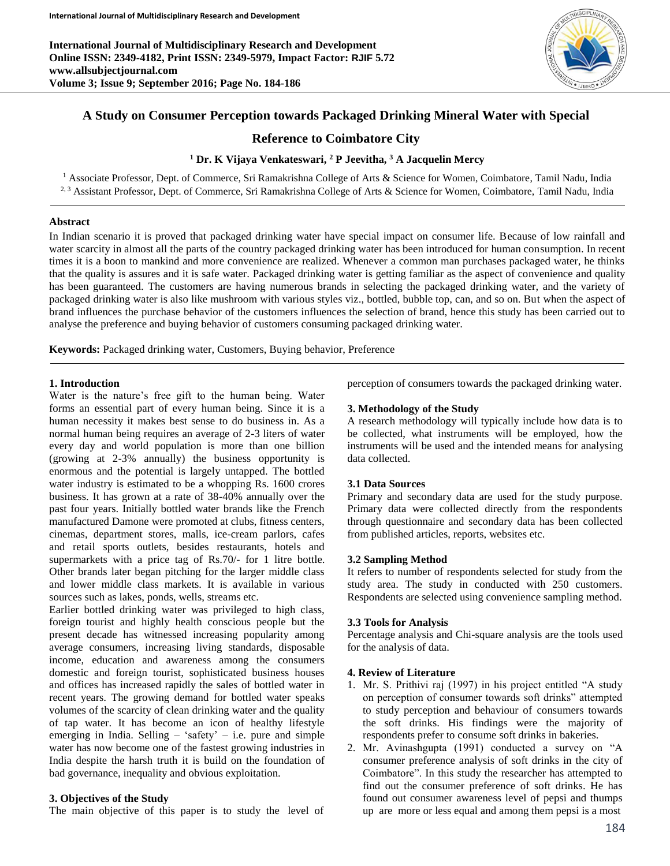**International Journal of Multidisciplinary Research and Development Online ISSN: 2349-4182, Print ISSN: 2349-5979, Impact Factor: RJIF 5.72 www.allsubjectjournal.com Volume 3; Issue 9; September 2016; Page No. 184-186**



# **A Study on Consumer Perception towards Packaged Drinking Mineral Water with Special**

# **Reference to Coimbatore City**

### **<sup>1</sup> Dr. K Vijaya Venkateswari, <sup>2</sup> P Jeevitha, <sup>3</sup> A Jacquelin Mercy**

<sup>1</sup> Associate Professor, Dept. of Commerce, Sri Ramakrishna College of Arts & Science for Women, Coimbatore, Tamil Nadu, India <sup>2, 3</sup> Assistant Professor, Dept. of Commerce, Sri Ramakrishna College of Arts & Science for Women, Coimbatore, Tamil Nadu, India

#### **Abstract**

In Indian scenario it is proved that packaged drinking water have special impact on consumer life. Because of low rainfall and water scarcity in almost all the parts of the country packaged drinking water has been introduced for human consumption. In recent times it is a boon to mankind and more convenience are realized. Whenever a common man purchases packaged water, he thinks that the quality is assures and it is safe water. Packaged drinking water is getting familiar as the aspect of convenience and quality has been guaranteed. The customers are having numerous brands in selecting the packaged drinking water, and the variety of packaged drinking water is also like mushroom with various styles viz., bottled, bubble top, can, and so on. But when the aspect of brand influences the purchase behavior of the customers influences the selection of brand, hence this study has been carried out to analyse the preference and buying behavior of customers consuming packaged drinking water.

**Keywords:** Packaged drinking water, Customers, Buying behavior, Preference

#### **1. Introduction**

Water is the nature's free gift to the human being. Water forms an essential part of every human being. Since it is a human necessity it makes best sense to do business in. As a normal human being requires an average of 2-3 liters of water every day and world population is more than one billion (growing at 2-3% annually) the business opportunity is enormous and the potential is largely untapped. The bottled water industry is estimated to be a whopping Rs. 1600 crores business. It has grown at a rate of 38-40% annually over the past four years. Initially bottled water brands like the French manufactured Damone were promoted at clubs, fitness centers, cinemas, department stores, malls, ice-cream parlors, cafes and retail sports outlets, besides restaurants, hotels and supermarkets with a price tag of Rs.70/- for 1 litre bottle. Other brands later began pitching for the larger middle class and lower middle class markets. It is available in various sources such as lakes, ponds, wells, streams etc.

Earlier bottled drinking water was privileged to high class, foreign tourist and highly health conscious people but the present decade has witnessed increasing popularity among average consumers, increasing living standards, disposable income, education and awareness among the consumers domestic and foreign tourist, sophisticated business houses and offices has increased rapidly the sales of bottled water in recent years. The growing demand for bottled water speaks volumes of the scarcity of clean drinking water and the quality of tap water. It has become an icon of healthy lifestyle emerging in India. Selling  $-$  'safety'  $-$  i.e. pure and simple water has now become one of the fastest growing industries in India despite the harsh truth it is build on the foundation of bad governance, inequality and obvious exploitation.

#### **3. Objectives of the Study**

The main objective of this paper is to study the level of

perception of consumers towards the packaged drinking water.

### **3. Methodology of the Study**

A research methodology will typically include how data is to be collected, what instruments will be employed, how the instruments will be used and the intended means for analysing data collected.

#### **3.1 Data Sources**

Primary and secondary data are used for the study purpose. Primary data were collected directly from the respondents through questionnaire and secondary data has been collected from published articles, reports, websites etc.

#### **3.2 Sampling Method**

It refers to number of respondents selected for study from the study area. The study in conducted with 250 customers. Respondents are selected using convenience sampling method.

#### **3.3 Tools for Analysis**

Percentage analysis and Chi-square analysis are the tools used for the analysis of data.

### **4. Review of Literature**

- 1. Mr. S. Prithivi raj (1997) in his project entitled "A study on perception of consumer towards soft drinks" attempted to study perception and behaviour of consumers towards the soft drinks. His findings were the majority of respondents prefer to consume soft drinks in bakeries.
- 2. Mr. Avinashgupta (1991) conducted a survey on "A consumer preference analysis of soft drinks in the city of Coimbatore". In this study the researcher has attempted to find out the consumer preference of soft drinks. He has found out consumer awareness level of pepsi and thumps up are more or less equal and among them pepsi is a most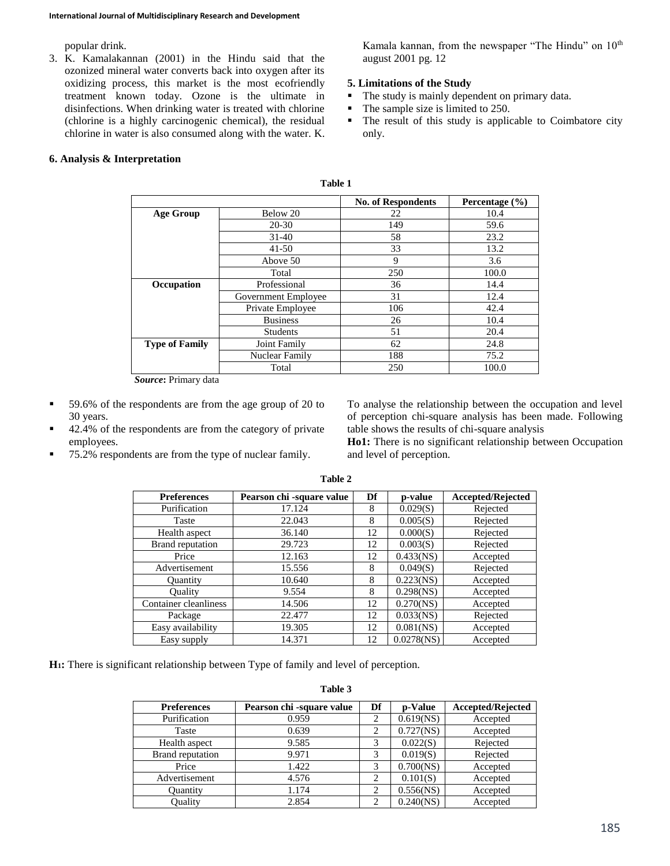popular drink.

3. K. Kamalakannan (2001) in the Hindu said that the ozonized mineral water converts back into oxygen after its oxidizing process, this market is the most ecofriendly treatment known today. Ozone is the ultimate in disinfections. When drinking water is treated with chlorine (chlorine is a highly carcinogenic chemical), the residual chlorine in water is also consumed along with the water. K.

Kamala kannan, from the newspaper "The Hindu" on  $10<sup>th</sup>$ august 2001 pg. 12

## **5. Limitations of the Study**

- The study is mainly dependent on primary data.
- The sample size is limited to 250.
- The result of this study is applicable to Coimbatore city only.

## **6. Analysis & Interpretation**

|                       |                     | <b>No. of Respondents</b> | Percentage $(\% )$ |  |  |
|-----------------------|---------------------|---------------------------|--------------------|--|--|
| <b>Age Group</b>      | Below 20            | 22                        | 10.4               |  |  |
|                       | $20 - 30$           | 149                       | 59.6               |  |  |
|                       | $31 - 40$           | 58                        | 23.2               |  |  |
|                       | $41 - 50$           | 33                        | 13.2               |  |  |
|                       | Above 50            | 9                         | 3.6                |  |  |
|                       | Total               | 250                       | 100.0              |  |  |
| Occupation            | Professional        | 36                        | 14.4               |  |  |
|                       | Government Employee | 31                        | 12.4               |  |  |
|                       | Private Employee    | 106                       | 42.4               |  |  |
|                       | <b>Business</b>     | 26                        | 10.4               |  |  |
|                       | <b>Students</b>     | 51                        | 20.4               |  |  |
| <b>Type of Family</b> | Joint Family        | 62                        | 24.8               |  |  |
|                       | Nuclear Family      | 188                       | 75.2               |  |  |
|                       | Total               | 250                       | 100.0              |  |  |

**Table 1**

*Source***:** Primary data

- 59.6% of the respondents are from the age group of 20 to 30 years.
- 42.4% of the respondents are from the category of private employees.
- 75.2% respondents are from the type of nuclear family.

To analyse the relationship between the occupation and level of perception chi-square analysis has been made. Following table shows the results of chi-square analysis

**Ho1:** There is no significant relationship between Occupation and level of perception.

| <b>Preferences</b>    | Pearson chi -square value | Df | p-value       | <b>Accepted/Rejected</b> |
|-----------------------|---------------------------|----|---------------|--------------------------|
| Purification          | 17.124                    | 8  | 0.029(S)      | Rejected                 |
| Taste                 | 22.043                    | 8  | 0.005(S)      | Rejected                 |
| Health aspect         | 36.140                    | 12 | 0.000(S)      | Rejected                 |
| Brand reputation      | 29.723                    | 12 | 0.003(S)      | Rejected                 |
| Price                 | 12.163                    | 12 | 0.433(NS)     | Accepted                 |
| Advertisement         | 15.556                    | 8  | 0.049(S)      | Rejected                 |
| <b>Ouantity</b>       | 10.640                    | 8  | $0.223$ (NS)  | Accepted                 |
| Ouality               | 9.554                     | 8  | $0.298$ (NS)  | Accepted                 |
| Container cleanliness | 14.506                    | 12 | $0.270$ (NS)  | Accepted                 |
| Package               | 22.477                    | 12 | $0.033$ (NS)  | Rejected                 |
| Easy availability     | 19.305                    | 12 | $0.081$ (NS)  | Accepted                 |
| Easy supply           | 14.371                    | 12 | $0.0278$ (NS) | Accepted                 |

**Table 2**

**H1:** There is significant relationship between Type of family and level of perception.

**Table 3**

| <b>Preferences</b> | Pearson chi -square value | Df | p-Value      | <b>Accepted/Rejected</b> |
|--------------------|---------------------------|----|--------------|--------------------------|
| Purification       | 0.959                     |    | $0.619$ (NS) | Accepted                 |
| Taste              | 0.639                     |    | $0.727$ (NS) | Accepted                 |
| Health aspect      | 9.585                     |    | 0.022(S)     | Rejected                 |
| Brand reputation   | 9.971                     |    | 0.019(S)     | Rejected                 |
| Price              | 1.422                     |    | $0.700$ (NS) | Accepted                 |
| Advertisement      | 4.576                     | ↑  | 0.101(S)     | Accepted                 |
| <b>Ouantity</b>    | 1.174                     |    | $0.556$ (NS) | Accepted                 |
| Ouality            | 2.854                     |    | $0.240$ (NS) | Accepted                 |